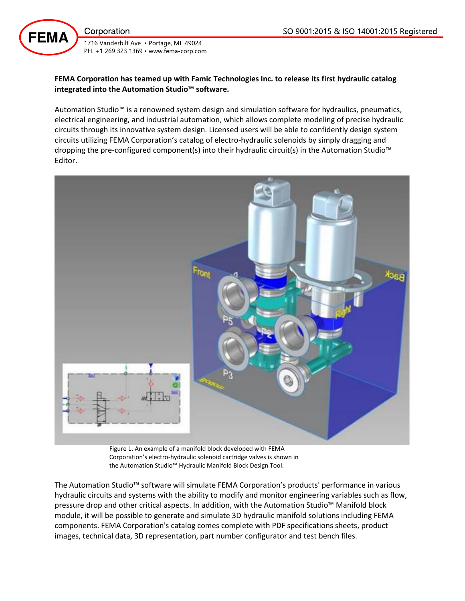Corporation

**FEMA** 

1716 Vanderbilt Ave · Portage, MI 49024 PH. +1 269 323 1369 · www.fema-corp.com

# **FEMA Corporation has teamed up with Famic Technologies Inc. to release its first hydraulic catalog integrated into the Automation Studio™ software.**

Automation Studio™ is a renowned system design and simulation software for hydraulics, pneumatics, electrical engineering, and industrial automation, which allows complete modeling of precise hydraulic circuits through its innovative system design. Licensed users will be able to confidently design system circuits utilizing FEMA Corporation's catalog of electro-hydraulic solenoids by simply dragging and dropping the pre-configured component(s) into their hydraulic circuit(s) in the Automation Studio™ Editor.



Figure 1. An example of a manifold block developed with FEMA Corporation's electro-hydraulic solenoid cartridge valves is shown in the Automation Studio™ Hydraulic Manifold Block Design Tool.

The Automation Studio™ software will simulate FEMA Corporation's products' performance in various hydraulic circuits and systems with the ability to modify and monitor engineering variables such as flow, pressure drop and other critical aspects. In addition, with the Automation Studio™ Manifold block module, it will be possible to generate and simulate 3D hydraulic manifold solutions including FEMA components. FEMA Corporation's catalog comes complete with PDF specifications sheets, product images, technical data, 3D representation, part number configurator and test bench files.